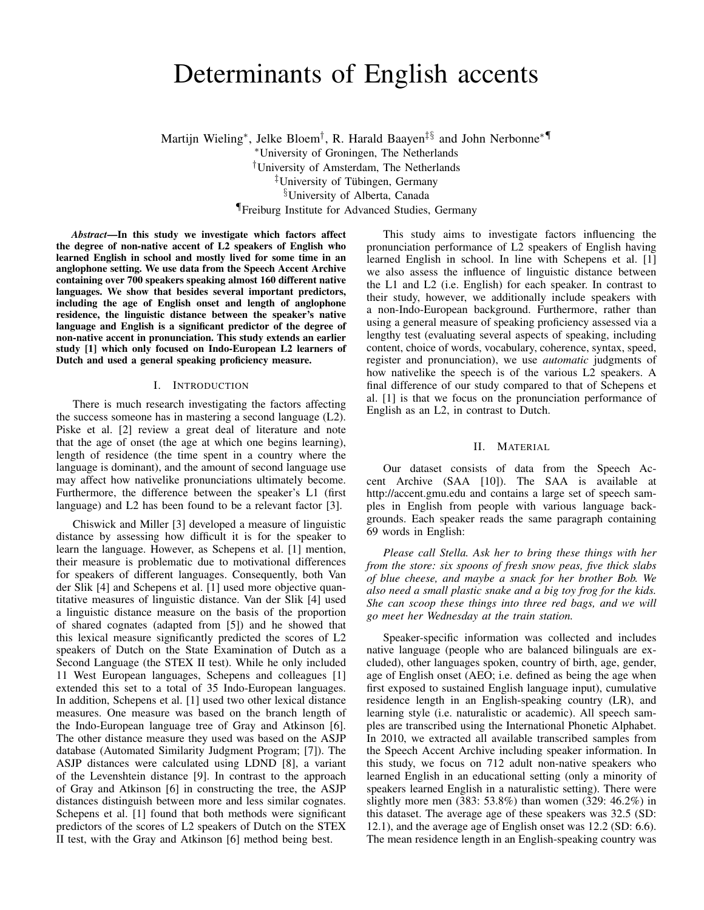# Determinants of English accents

Martijn Wieling\*, Jelke Bloem<sup>†</sup>, R. Harald Baayen<sup>‡§</sup> and John Nerbonne\*¶

<sup>∗</sup>University of Groningen, The Netherlands

†University of Amsterdam, The Netherlands

<sup>‡</sup>University of Tübingen, Germany

§University of Alberta, Canada

¶Freiburg Institute for Advanced Studies, Germany

*Abstract*—In this study we investigate which factors affect the degree of non-native accent of L2 speakers of English who learned English in school and mostly lived for some time in an anglophone setting. We use data from the Speech Accent Archive containing over 700 speakers speaking almost 160 different native languages. We show that besides several important predictors, including the age of English onset and length of anglophone residence, the linguistic distance between the speaker's native language and English is a significant predictor of the degree of non-native accent in pronunciation. This study extends an earlier study [1] which only focused on Indo-European L2 learners of Dutch and used a general speaking proficiency measure.

# I. INTRODUCTION

There is much research investigating the factors affecting the success someone has in mastering a second language (L2). Piske et al. [2] review a great deal of literature and note that the age of onset (the age at which one begins learning), length of residence (the time spent in a country where the language is dominant), and the amount of second language use may affect how nativelike pronunciations ultimately become. Furthermore, the difference between the speaker's L1 (first language) and L2 has been found to be a relevant factor [3].

Chiswick and Miller [3] developed a measure of linguistic distance by assessing how difficult it is for the speaker to learn the language. However, as Schepens et al. [1] mention, their measure is problematic due to motivational differences for speakers of different languages. Consequently, both Van der Slik [4] and Schepens et al. [1] used more objective quantitative measures of linguistic distance. Van der Slik [4] used a linguistic distance measure on the basis of the proportion of shared cognates (adapted from [5]) and he showed that this lexical measure significantly predicted the scores of L2 speakers of Dutch on the State Examination of Dutch as a Second Language (the STEX II test). While he only included 11 West European languages, Schepens and colleagues [1] extended this set to a total of 35 Indo-European languages. In addition, Schepens et al. [1] used two other lexical distance measures. One measure was based on the branch length of the Indo-European language tree of Gray and Atkinson [6]. The other distance measure they used was based on the ASJP database (Automated Similarity Judgment Program; [7]). The ASJP distances were calculated using LDND [8], a variant of the Levenshtein distance [9]. In contrast to the approach of Gray and Atkinson [6] in constructing the tree, the ASJP distances distinguish between more and less similar cognates. Schepens et al. [1] found that both methods were significant predictors of the scores of L2 speakers of Dutch on the STEX II test, with the Gray and Atkinson [6] method being best.

This study aims to investigate factors influencing the pronunciation performance of L2 speakers of English having learned English in school. In line with Schepens et al. [1] we also assess the influence of linguistic distance between the L1 and L2 (i.e. English) for each speaker. In contrast to their study, however, we additionally include speakers with a non-Indo-European background. Furthermore, rather than using a general measure of speaking proficiency assessed via a lengthy test (evaluating several aspects of speaking, including content, choice of words, vocabulary, coherence, syntax, speed, register and pronunciation), we use *automatic* judgments of how nativelike the speech is of the various L2 speakers. A final difference of our study compared to that of Schepens et al. [1] is that we focus on the pronunciation performance of English as an L2, in contrast to Dutch.

# II. MATERIAL

Our dataset consists of data from the Speech Accent Archive (SAA [10]). The SAA is available at http://accent.gmu.edu and contains a large set of speech samples in English from people with various language backgrounds. Each speaker reads the same paragraph containing 69 words in English:

*Please call Stella. Ask her to bring these things with her from the store: six spoons of fresh snow peas, five thick slabs of blue cheese, and maybe a snack for her brother Bob. We also need a small plastic snake and a big toy frog for the kids. She can scoop these things into three red bags, and we will go meet her Wednesday at the train station.*

Speaker-specific information was collected and includes native language (people who are balanced bilinguals are excluded), other languages spoken, country of birth, age, gender, age of English onset (AEO; i.e. defined as being the age when first exposed to sustained English language input), cumulative residence length in an English-speaking country (LR), and learning style (i.e. naturalistic or academic). All speech samples are transcribed using the International Phonetic Alphabet. In 2010, we extracted all available transcribed samples from the Speech Accent Archive including speaker information. In this study, we focus on 712 adult non-native speakers who learned English in an educational setting (only a minority of speakers learned English in a naturalistic setting). There were slightly more men (383: 53.8%) than women (329: 46.2%) in this dataset. The average age of these speakers was 32.5 (SD: 12.1), and the average age of English onset was 12.2 (SD: 6.6). The mean residence length in an English-speaking country was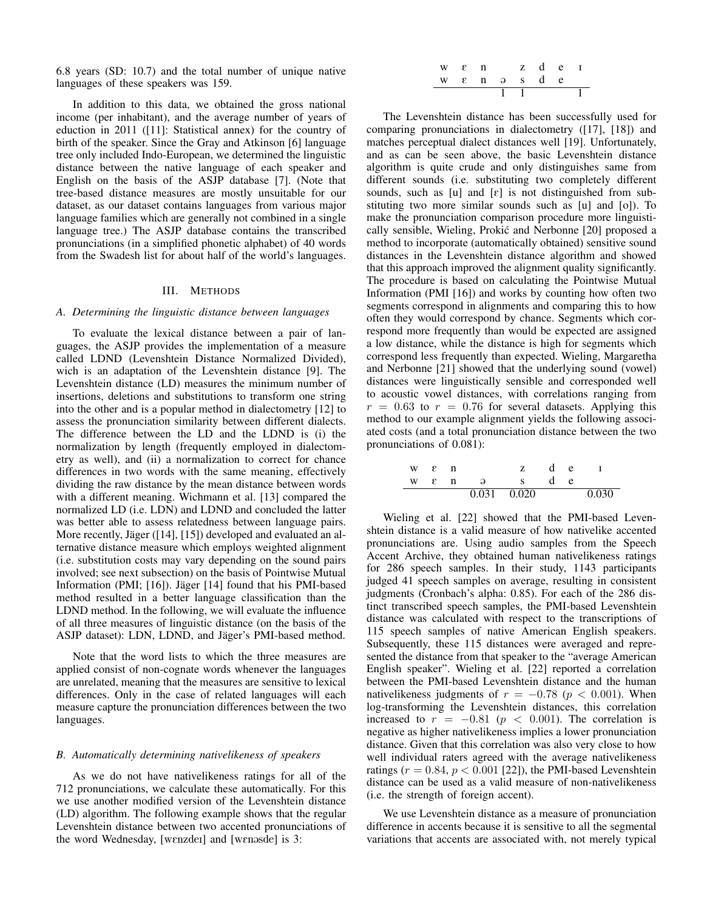6.8 years (SD: 10.7) and the total number of unique native languages of these speakers was 159.

In addition to this data, we obtained the gross national income (per inhabitant), and the average number of years of eduction in 2011 ([11]: Statistical annex) for the country of birth of the speaker. Since the Gray and Atkinson [6] language tree only included Indo-European, we determined the linguistic distance between the native language of each speaker and English on the basis of the ASJP database [7]. (Note that tree-based distance measures are mostly unsuitable for our dataset, as our dataset contains languages from various major language families which are generally not combined in a single language tree.) The ASJP database contains the transcribed pronunciations (in a simplified phonetic alphabet) of 40 words from the Swadesh list for about half of the world's languages.

## III. METHODS

## *A. Determining the linguistic distance between languages*

To evaluate the lexical distance between a pair of languages, the ASJP provides the implementation of a measure called LDND (Levenshtein Distance Normalized Divided), wich is an adaptation of the Levenshtein distance [9]. The Levenshtein distance (LD) measures the minimum number of insertions, deletions and substitutions to transform one string into the other and is a popular method in dialectometry [12] to assess the pronunciation similarity between different dialects. The difference between the LD and the LDND is (i) the normalization by length (frequently employed in dialectometry as well), and (ii) a normalization to correct for chance differences in two words with the same meaning, effectively dividing the raw distance by the mean distance between words with a different meaning. Wichmann et al. [13] compared the normalized LD (i.e. LDN) and LDND and concluded the latter was better able to assess relatedness between language pairs. More recently, Jäger ([14], [15]) developed and evaluated an alternative distance measure which employs weighted alignment (i.e. substitution costs may vary depending on the sound pairs involved; see next subsection) on the basis of Pointwise Mutual Information (PMI; [16]). Jäger [14] found that his PMI-based method resulted in a better language classification than the LDND method. In the following, we will evaluate the influence of all three measures of linguistic distance (on the basis of the ASJP dataset): LDN, LDND, and Jäger's PMI-based method.

Note that the word lists to which the three measures are applied consist of non-cognate words whenever the languages are unrelated, meaning that the measures are sensitive to lexical differences. Only in the case of related languages will each measure capture the pronunciation differences between the two languages.

## *B. Automatically determining nativelikeness of speakers*

As we do not have nativelikeness ratings for all of the 712 pronunciations, we calculate these automatically. For this we use another modified version of the Levenshtein distance (LD) algorithm. The following example shows that the regular Levenshtein distance between two accented pronunciations of the word Wednesday, [wɛnzdeɪ] and [wɛnəsde] is 3:

| -82 |  | 7 | d.       | e. |  |
|-----|--|---|----------|----|--|
|     |  |   | w en əsd | e  |  |
|     |  |   |          |    |  |

The Levenshtein distance has been successfully used for comparing pronunciations in dialectometry ([17], [18]) and matches perceptual dialect distances well [19]. Unfortunately, and as can be seen above, the basic Levenshtein distance algorithm is quite crude and only distinguishes same from different sounds (i.e. substituting two completely different sounds, such as [u] and  $[\varepsilon]$  is not distinguished from substituting two more similar sounds such as [u] and [o]). To make the pronunciation comparison procedure more linguistically sensible, Wieling, Prokic and Nerbonne [20] proposed a ´ method to incorporate (automatically obtained) sensitive sound distances in the Levenshtein distance algorithm and showed that this approach improved the alignment quality significantly. The procedure is based on calculating the Pointwise Mutual Information (PMI [16]) and works by counting how often two segments correspond in alignments and comparing this to how often they would correspond by chance. Segments which correspond more frequently than would be expected are assigned a low distance, while the distance is high for segments which correspond less frequently than expected. Wieling, Margaretha and Nerbonne [21] showed that the underlying sound (vowel) distances were linguistically sensible and corresponded well to acoustic vowel distances, with correlations ranging from  $r = 0.63$  to  $r = 0.76$  for several datasets. Applying this method to our example alignment yields the following associated costs (and a total pronunciation distance between the two pronunciations of 0.081):

w E n z d e I w E n @ s d e 0.031 0.020 0.030

Wieling et al. [22] showed that the PMI-based Levenshtein distance is a valid measure of how nativelike accented pronunciations are. Using audio samples from the Speech Accent Archive, they obtained human nativelikeness ratings for 286 speech samples. In their study, 1143 participants judged 41 speech samples on average, resulting in consistent judgments (Cronbach's alpha: 0.85). For each of the 286 distinct transcribed speech samples, the PMI-based Levenshtein distance was calculated with respect to the transcriptions of 115 speech samples of native American English speakers. Subsequently, these 115 distances were averaged and represented the distance from that speaker to the "average American English speaker". Wieling et al. [22] reported a correlation between the PMI-based Levenshtein distance and the human nativelikeness judgments of  $r = -0.78$  ( $p < 0.001$ ). When log-transforming the Levenshtein distances, this correlation increased to  $r = -0.81$  ( $p < 0.001$ ). The correlation is negative as higher nativelikeness implies a lower pronunciation distance. Given that this correlation was also very close to how well individual raters agreed with the average nativelikeness ratings ( $r = 0.84$ ,  $p < 0.001$  [22]), the PMI-based Levenshtein distance can be used as a valid measure of non-nativelikeness (i.e. the strength of foreign accent).

We use Levenshtein distance as a measure of pronunciation difference in accents because it is sensitive to all the segmental variations that accents are associated with, not merely typical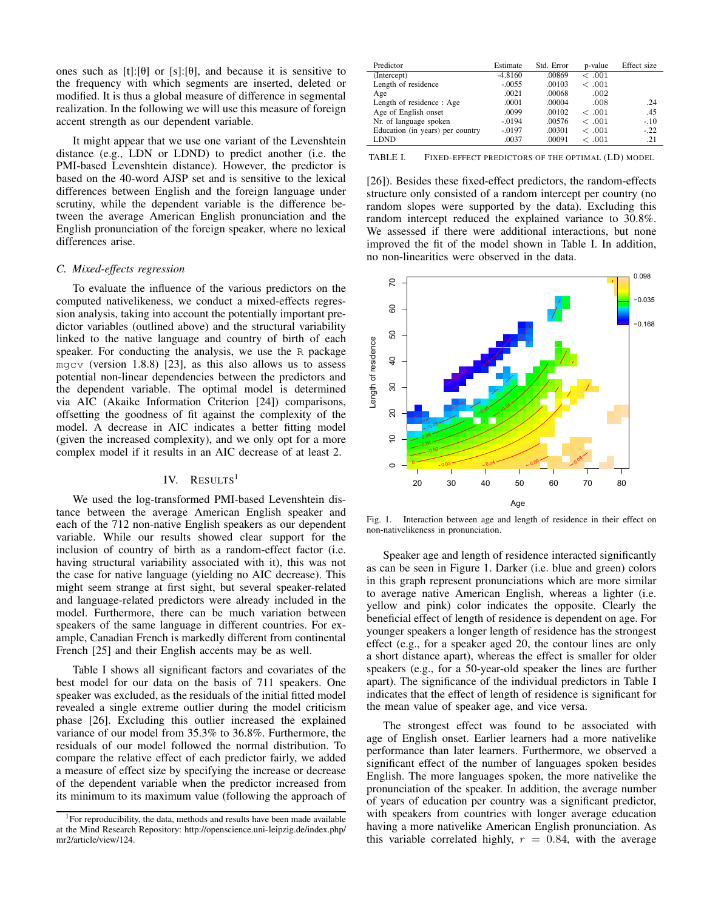ones such as [t]:[ $\theta$ ] or [s]:[ $\theta$ ], and because it is sensitive to the frequency with which segments are inserted, deleted or modified. It is thus a global measure of difference in segmental realization. In the following we will use this measure of foreign accent strength as our dependent variable.

It might appear that we use one variant of the Levenshtein distance (e.g., LDN or LDND) to predict another (i.e. the PMI-based Levenshtein distance). However, the predictor is based on the 40-word AJSP set and is sensitive to the lexical differences between English and the foreign language under scrutiny, while the dependent variable is the difference between the average American English pronunciation and the English pronunciation of the foreign speaker, where no lexical differences arise.

#### *C. Mixed-effects regression*

To evaluate the influence of the various predictors on the computed nativelikeness, we conduct a mixed-effects regression analysis, taking into account the potentially important predictor variables (outlined above) and the structural variability linked to the native language and country of birth of each speaker. For conducting the analysis, we use the R package mgcv (version 1.8.8) [23], as this also allows us to assess potential non-linear dependencies between the predictors and the dependent variable. The optimal model is determined via AIC (Akaike Information Criterion [24]) comparisons, offsetting the goodness of fit against the complexity of the model. A decrease in AIC indicates a better fitting model (given the increased complexity), and we only opt for a more complex model if it results in an AIC decrease of at least 2.

# IV. RESULTS<sup>1</sup>

We used the log-transformed PMI-based Levenshtein distance between the average American English speaker and each of the 712 non-native English speakers as our dependent variable. While our results showed clear support for the inclusion of country of birth as a random-effect factor (i.e. having structural variability associated with it), this was not the case for native language (yielding no AIC decrease). This might seem strange at first sight, but several speaker-related and language-related predictors were already included in the model. Furthermore, there can be much variation between speakers of the same language in different countries. For example, Canadian French is markedly different from continental French [25] and their English accents may be as well.

Table I shows all significant factors and covariates of the best model for our data on the basis of 711 speakers. One speaker was excluded, as the residuals of the initial fitted model revealed a single extreme outlier during the model criticism phase [26]. Excluding this outlier increased the explained variance of our model from 35.3% to 36.8%. Furthermore, the residuals of our model followed the normal distribution. To compare the relative effect of each predictor fairly, we added a measure of effect size by specifying the increase or decrease of the dependent variable when the predictor increased from its minimum to its maximum value (following the approach of

| Predictor                        | Estimate  | Std. Error | p-value            | Effect size |
|----------------------------------|-----------|------------|--------------------|-------------|
| (Intercept)                      | $-4.8160$ | .00869     | $\overline{<0.01}$ |             |
| Length of residence              | $-.0055$  | .00103     | <.001              |             |
| Age                              | .0021     | .00068     | .002               |             |
| Length of residence: Age         | .0001     | .00004     | .008               | .24         |
| Age of English onset             | .0099     | .00102     | <.001              | .45         |
| Nr. of language spoken           | $-.0194$  | .00576     | <.001              | $-.10$      |
| Education (in years) per country | $-.0197$  | .00301     | <.001              | $-.22$      |
| <b>LDND</b>                      | .0037     | .00091     | <.001              | .21         |

TABLE I. FIXED-EFFECT PREDICTORS OF THE OPTIMAL (LD) MODEL

[26]). Besides these fixed-effect predictors, the random-effects structure only consisted of a random intercept per country (no random slopes were supported by the data). Excluding this random intercept reduced the explained variance to 30.8%. We assessed if there were additional interactions, but none improved the fit of the model shown in Table I. In addition, no non-linearities were observed in the data.



Fig. 1. Interaction between age and length of residence in their effect on non-nativelikeness in pronunciation.

Speaker age and length of residence interacted significantly as can be seen in Figure 1. Darker (i.e. blue and green) colors in this graph represent pronunciations which are more similar to average native American English, whereas a lighter (i.e. yellow and pink) color indicates the opposite. Clearly the beneficial effect of length of residence is dependent on age. For younger speakers a longer length of residence has the strongest effect (e.g., for a speaker aged 20, the contour lines are only a short distance apart), whereas the effect is smaller for older speakers (e.g., for a 50-year-old speaker the lines are further apart). The significance of the individual predictors in Table I indicates that the effect of length of residence is significant for the mean value of speaker age, and vice versa.

The strongest effect was found to be associated with age of English onset. Earlier learners had a more nativelike performance than later learners. Furthermore, we observed a significant effect of the number of languages spoken besides English. The more languages spoken, the more nativelike the pronunciation of the speaker. In addition, the average number of years of education per country was a significant predictor, with speakers from countries with longer average education having a more nativelike American English pronunciation. As this variable correlated highly,  $r = 0.84$ , with the average

<sup>&</sup>lt;sup>1</sup>For reproducibility, the data, methods and results have been made available at the Mind Research Repository: http://openscience.uni-leipzig.de/index.php/ mr2/article/view/124.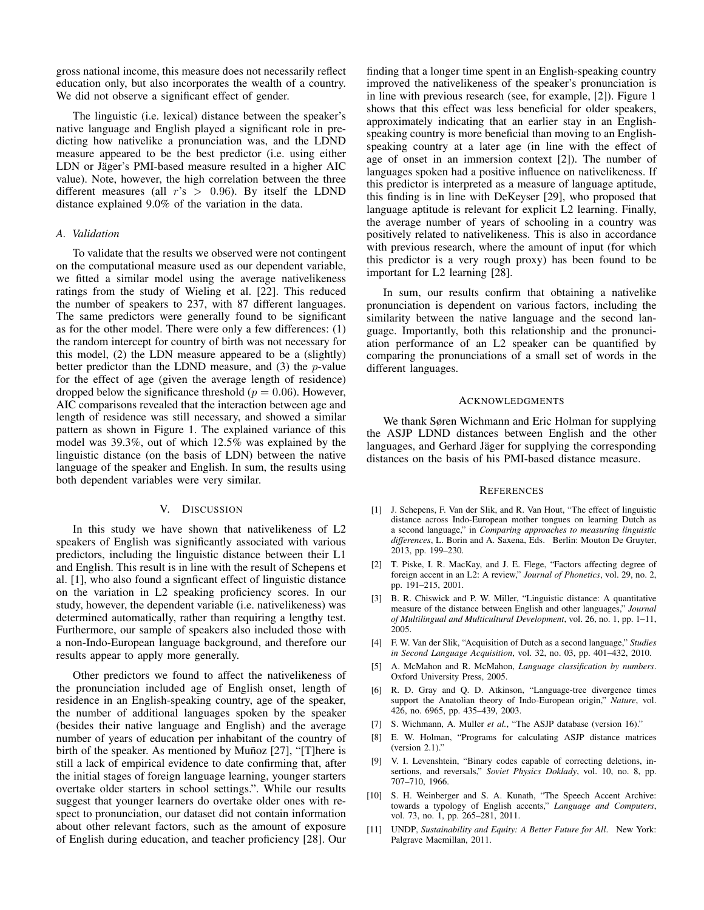gross national income, this measure does not necessarily reflect education only, but also incorporates the wealth of a country. We did not observe a significant effect of gender.

The linguistic (i.e. lexical) distance between the speaker's native language and English played a significant role in predicting how nativelike a pronunciation was, and the LDND measure appeared to be the best predictor (i.e. using either LDN or Jäger's PMI-based measure resulted in a higher AIC value). Note, however, the high correlation between the three different measures (all  $r$ 's  $> 0.96$ ). By itself the LDND distance explained 9.0% of the variation in the data.

## *A. Validation*

To validate that the results we observed were not contingent on the computational measure used as our dependent variable, we fitted a similar model using the average nativelikeness ratings from the study of Wieling et al. [22]. This reduced the number of speakers to 237, with 87 different languages. The same predictors were generally found to be significant as for the other model. There were only a few differences: (1) the random intercept for country of birth was not necessary for this model, (2) the LDN measure appeared to be a (slightly) better predictor than the LDND measure, and  $(3)$  the *p*-value for the effect of age (given the average length of residence) dropped below the significance threshold ( $p = 0.06$ ). However, AIC comparisons revealed that the interaction between age and length of residence was still necessary, and showed a similar pattern as shown in Figure 1. The explained variance of this model was 39.3%, out of which 12.5% was explained by the linguistic distance (on the basis of LDN) between the native language of the speaker and English. In sum, the results using both dependent variables were very similar.

## V. DISCUSSION

In this study we have shown that nativelikeness of L2 speakers of English was significantly associated with various predictors, including the linguistic distance between their L1 and English. This result is in line with the result of Schepens et al. [1], who also found a signficant effect of linguistic distance on the variation in L2 speaking proficiency scores. In our study, however, the dependent variable (i.e. nativelikeness) was determined automatically, rather than requiring a lengthy test. Furthermore, our sample of speakers also included those with a non-Indo-European language background, and therefore our results appear to apply more generally.

Other predictors we found to affect the nativelikeness of the pronunciation included age of English onset, length of residence in an English-speaking country, age of the speaker, the number of additional languages spoken by the speaker (besides their native language and English) and the average number of years of education per inhabitant of the country of birth of the speaker. As mentioned by Muñoz  $[27]$ , "[T]here is still a lack of empirical evidence to date confirming that, after the initial stages of foreign language learning, younger starters overtake older starters in school settings.". While our results suggest that younger learners do overtake older ones with respect to pronunciation, our dataset did not contain information about other relevant factors, such as the amount of exposure of English during education, and teacher proficiency [28]. Our

finding that a longer time spent in an English-speaking country improved the nativelikeness of the speaker's pronunciation is in line with previous research (see, for example, [2]). Figure 1 shows that this effect was less beneficial for older speakers, approximately indicating that an earlier stay in an Englishspeaking country is more beneficial than moving to an Englishspeaking country at a later age (in line with the effect of age of onset in an immersion context [2]). The number of languages spoken had a positive influence on nativelikeness. If this predictor is interpreted as a measure of language aptitude, this finding is in line with DeKeyser [29], who proposed that language aptitude is relevant for explicit L2 learning. Finally, the average number of years of schooling in a country was positively related to nativelikeness. This is also in accordance with previous research, where the amount of input (for which this predictor is a very rough proxy) has been found to be important for L2 learning [28].

In sum, our results confirm that obtaining a nativelike pronunciation is dependent on various factors, including the similarity between the native language and the second language. Importantly, both this relationship and the pronunciation performance of an L2 speaker can be quantified by comparing the pronunciations of a small set of words in the different languages.

#### ACKNOWLEDGMENTS

We thank Søren Wichmann and Eric Holman for supplying the ASJP LDND distances between English and the other languages, and Gerhard Jäger for supplying the corresponding distances on the basis of his PMI-based distance measure.

## **REFERENCES**

- [1] J. Schepens, F. Van der Slik, and R. Van Hout, "The effect of linguistic distance across Indo-European mother tongues on learning Dutch as a second language," in *Comparing approaches to measuring linguistic differences*, L. Borin and A. Saxena, Eds. Berlin: Mouton De Gruyter, 2013, pp. 199–230.
- [2] T. Piske, I. R. MacKay, and J. E. Flege, "Factors affecting degree of foreign accent in an L2: A review," *Journal of Phonetics*, vol. 29, no. 2, pp. 191–215, 2001.
- [3] B. R. Chiswick and P. W. Miller, "Linguistic distance: A quantitative measure of the distance between English and other languages," *Journal of Multilingual and Multicultural Development*, vol. 26, no. 1, pp. 1–11, 2005.
- [4] F. W. Van der Slik, "Acquisition of Dutch as a second language," *Studies in Second Language Acquisition*, vol. 32, no. 03, pp. 401–432, 2010.
- [5] A. McMahon and R. McMahon, *Language classification by numbers*. Oxford University Press, 2005.
- [6] R. D. Gray and Q. D. Atkinson, "Language-tree divergence times support the Anatolian theory of Indo-European origin," *Nature*, vol. 426, no. 6965, pp. 435–439, 2003.
- [7] S. Wichmann, A. Muller *et al.*, "The ASJP database (version 16)."
- [8] E. W. Holman, "Programs for calculating ASJP distance matrices (version 2.1)."
- [9] V. I. Levenshtein, "Binary codes capable of correcting deletions, insertions, and reversals," *Soviet Physics Doklady*, vol. 10, no. 8, pp. 707–710, 1966.
- [10] S. H. Weinberger and S. A. Kunath, "The Speech Accent Archive: towards a typology of English accents," *Language and Computers*, vol. 73, no. 1, pp. 265–281, 2011.
- [11] UNDP, *Sustainability and Equity: A Better Future for All*. New York: Palgrave Macmillan, 2011.